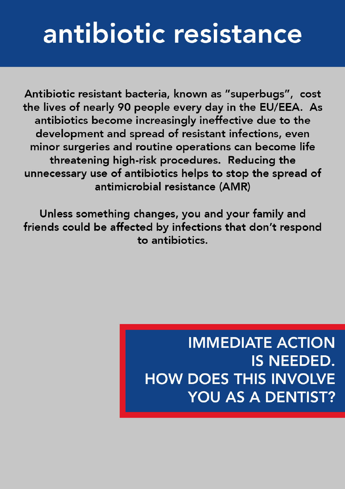## antibiotic resistance

Antibiotic resistant bacteria, known as "superbugs", cost the lives of nearly 90 people every day in the EU/EEA. As antibiotics become increasingly ineffective due to the development and spread of resistant infections, even minor surgeries and routine operations can become life threatening high-risk procedures. Reducing the unnecessary use of antibiotics helps to stop the spread of antimicrobial resistance (AMR)

Unless something changes, you and your family and friends could be affected by infections that don't respond to antibiotics.

> **IMMEDIATE ACTION** IS NEEDED. **HOW DOES THIS INVOLVE** YOU AS A DENTIST?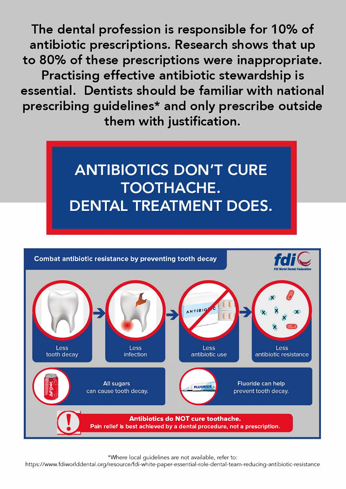The dental profession is responsible for 10% of antibiotic prescriptions. Research shows that up to 80% of these prescriptions were inappropriate. Practising effective antibiotic stewardship is essential. Dentists should be familiar with national prescribing guidelines\* and only prescribe outside them with justification.





\*Where local guidelines are not available, refer to:

https://www.fdiworlddental.org/resource/fdi-white-paper-essential-role-dental-team-reducing-antibiotic-resistance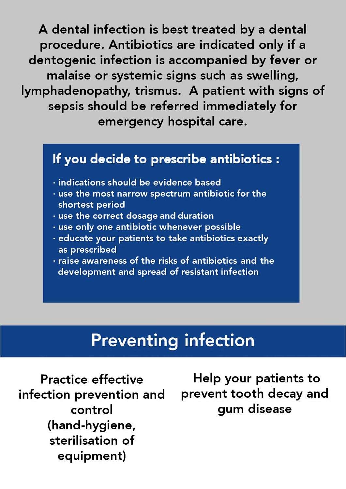**A dental infection is best treated by a dental procedure. Antibiotics are indicated only if a dentogenic infection is accompanied by fever or malaise or systemic signs such as swelling, lymphadenopathy, trismus. A patient with signs of sepsis should be referred immediately for emergency hospital care.** 

## **lf you decide to prescribe antibiotics :**

- **• indications should be evidence based**
- **• use the most narrow spectrum antibiotic for the shortest period**
- **• use the correct dosage and duration**
- **• use only one antibiotic whenever possible**
- **· educate your patients to take antibiotics exactly as prescribed**
- **• raise awareness of the risks of antibiotics and the development and spread of resistant infection**

## **Preventing infection**

**Practice effective infection prevention and control (hand-hygiene, sterilisation of equipment)** 

**Help your patients to prevent tooth decay and gum disease**